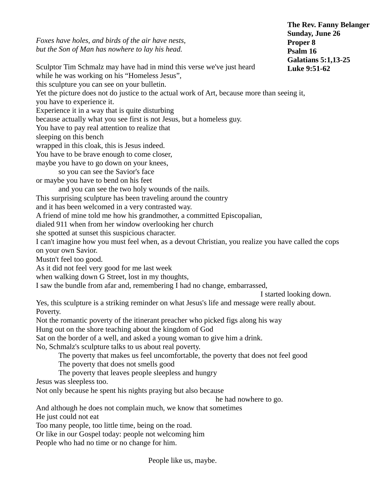*Foxes have holes, and birds of the air have nests, but the Son of Man has nowhere to lay his head.* Sculptor Tim Schmalz may have had in mind this verse we've just heard while he was working on his "Homeless Jesus", this sculpture you can see on your bulletin. Yet the picture does not do justice to the actual work of Art, because more than seeing it, you have to experience it. Experience it in a way that is quite disturbing because actually what you see first is not Jesus, but a homeless guy. You have to pay real attention to realize that sleeping on this bench wrapped in this cloak, this is Jesus indeed. You have to be brave enough to come closer, maybe you have to go down on your knees, so you can see the Savior's face or maybe you have to bend on his feet and you can see the two holy wounds of the nails. This surprising sculpture has been traveling around the country and it has been welcomed in a very contrasted way. A friend of mine told me how his grandmother, a committed Episcopalian, dialed 911 when from her window overlooking her church she spotted at sunset this suspicious character. I can't imagine how you must feel when, as a devout Christian, you realize you have called the cops on your own Savior. Mustn't feel too good. As it did not feel very good for me last week when walking down G Street, lost in my thoughts, I saw the bundle from afar and, remembering I had no change, embarrassed, I started looking down. Yes, this sculpture is a striking reminder on what Jesus's life and message were really about. Poverty. Not the romantic poverty of the itinerant preacher who picked figs along his way Hung out on the shore teaching about the kingdom of God Sat on the border of a well, and asked a young woman to give him a drink. No, Schmalz's sculpture talks to us about real poverty. The poverty that makes us feel uncomfortable, the poverty that does not feel good The poverty that does not smells good The poverty that leaves people sleepless and hungry Jesus was sleepless too. Not only because he spent his nights praying but also because he had nowhere to go. And although he does not complain much, we know that sometimes He just could not eat Too many people, too little time, being on the road. **The Rev. Fanny Belanger Sunday, June 26 Proper 8 Psalm 16 Galatians 5:1,13-25 Luke 9:51-62**

Or like in our Gospel today: people not welcoming him

People who had no time or no change for him.

People like us, maybe.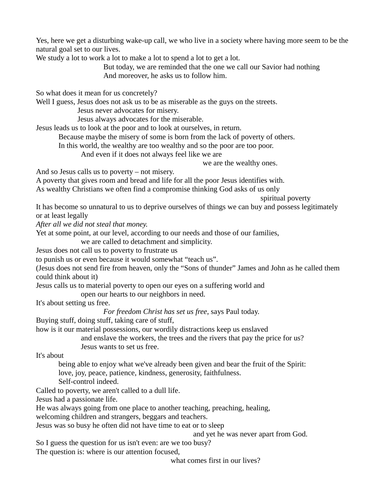Yes, here we get a disturbing wake-up call, we who live in a society where having more seem to be the natural goal set to our lives.

We study a lot to work a lot to make a lot to spend a lot to get a lot.

But today, we are reminded that the one we call our Savior had nothing And moreover, he asks us to follow him.

So what does it mean for us concretely?

Well I guess, Jesus does not ask us to be as miserable as the guys on the streets.

Jesus never advocates for misery.

Jesus always advocates for the miserable.

Jesus leads us to look at the poor and to look at ourselves, in return.

Because maybe the misery of some is born from the lack of poverty of others.

In this world, the wealthy are too wealthy and so the poor are too poor.

And even if it does not always feel like we are

we are the wealthy ones.

And so Jesus calls us to poverty – not misery.

A poverty that gives room and bread and life for all the poor Jesus identifies with.

As wealthy Christians we often find a compromise thinking God asks of us only

spiritual poverty

It has become so unnatural to us to deprive ourselves of things we can buy and possess legitimately or at least legally

*After all we did not steal that money.*

Yet at some point, at our level, according to our needs and those of our families,

we are called to detachment and simplicity.

Jesus does not call us to poverty to frustrate us

to punish us or even because it would somewhat "teach us".

(Jesus does not send fire from heaven, only the "Sons of thunder" James and John as he called them could think about it)

Jesus calls us to material poverty to open our eyes on a suffering world and

open our hearts to our neighbors in need.

It's about setting us free.

*For freedom Christ has set us free*, says Paul today.

Buying stuff, doing stuff, taking care of stuff,

how is it our material possessions, our wordily distractions keep us enslaved

and enslave the workers, the trees and the rivers that pay the price for us? Jesus wants to set us free.

It's about

being able to enjoy what we've already been given and bear the fruit of the Spirit: love, joy, peace, patience, kindness, generosity, faithfulness.

Self-control indeed.

Called to poverty, we aren't called to a dull life.

Jesus had a passionate life.

He was always going from one place to another teaching, preaching, healing,

welcoming children and strangers, beggars and teachers.

Jesus was so busy he often did not have time to eat or to sleep

and yet he was never apart from God.

So I guess the question for us isn't even: are we too busy?

The question is: where is our attention focused,

what comes first in our lives?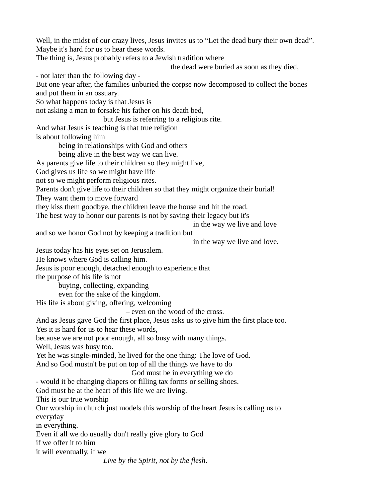Well, in the midst of our crazy lives, Jesus invites us to "Let the dead bury their own dead". Maybe it's hard for us to hear these words. The thing is, Jesus probably refers to a Jewish tradition where the dead were buried as soon as they died, - not later than the following day - But one year after, the families unburied the corpse now decomposed to collect the bones and put them in an ossuary. So what happens today is that Jesus is

not asking a man to forsake his father on his death bed,

but Jesus is referring to a religious rite.

And what Jesus is teaching is that true religion

is about following him

being in relationships with God and others

being alive in the best way we can live.

As parents give life to their children so they might live,

God gives us life so we might have life

not so we might perform religious rites.

Parents don't give life to their children so that they might organize their burial!

They want them to move forward

they kiss them goodbye, the children leave the house and hit the road.

The best way to honor our parents is not by saving their legacy but it's

in the way we live and love

and so we honor God not by keeping a tradition but

in the way we live and love.

Jesus today has his eyes set on Jerusalem.

He knows where God is calling him.

Jesus is poor enough, detached enough to experience that

the purpose of his life is not

buying, collecting, expanding

even for the sake of the kingdom.

His life is about giving, offering, welcoming

– even on the wood of the cross.

And as Jesus gave God the first place, Jesus asks us to give him the first place too.

Yes it is hard for us to hear these words,

because we are not poor enough, all so busy with many things.

Well, Jesus was busy too.

Yet he was single-minded, he lived for the one thing: The love of God.

And so God mustn't be put on top of all the things we have to do

God must be in everything we do

- would it be changing diapers or filling tax forms or selling shoes.

God must be at the heart of this life we are living.

This is our true worship

Our worship in church just models this worship of the heart Jesus is calling us to everyday

in everything.

Even if all we do usually don't really give glory to God

if we offer it to him

it will eventually, if we

*Live by the Spirit, not by the flesh*.